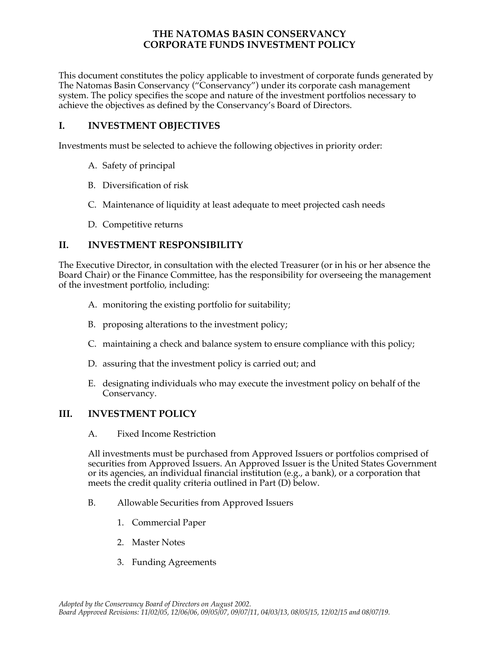## **THE NATOMAS BASIN CONSERVANCY CORPORATE FUNDS INVESTMENT POLICY**

 This document constitutes the policy applicable to investment of corporate funds generated by The Natomas Basin Conservancy ("Conservancy") under its corporate cash management system. The policy specifies the scope and nature of the investment portfolios necessary to achieve the objectives as defined by the Conservancy's Board of Directors.

## **I. INVESTMENT OBJECTIVES**

Investments must be selected to achieve the following objectives in priority order:

- A. Safety of principal
- B. Diversification of risk
- C. Maintenance of liquidity at least adequate to meet projected cash needs
- D. Competitive returns

## **II. INVESTMENT RESPONSIBILITY**

 The Executive Director, in consultation with the elected Treasurer (or in his or her absence the of the investment portfolio, including: Board Chair) or the Finance Committee, has the responsibility for overseeing the management

- A. monitoring the existing portfolio for suitability;
- B. proposing alterations to the investment policy;
- C. maintaining a check and balance system to ensure compliance with this policy;
- D. assuring that the investment policy is carried out; and
- E. designating individuals who may execute the investment policy on behalf of the Conservancy.

## **III. INVESTMENT POLICY**

A. Fixed Income Restriction

 securities from Approved Issuers. An Approved Issuer is the United States Government or its agencies, an individual financial institution (e.g., a bank), or a corporation that meets the credit quality criteria outlined in Part (D) below. All investments must be purchased from Approved Issuers or portfolios comprised of

- B. Allowable Securities from Approved Issuers
	- 1. Commercial Paper
	- 2. Master Notes
	- 3. Funding Agreements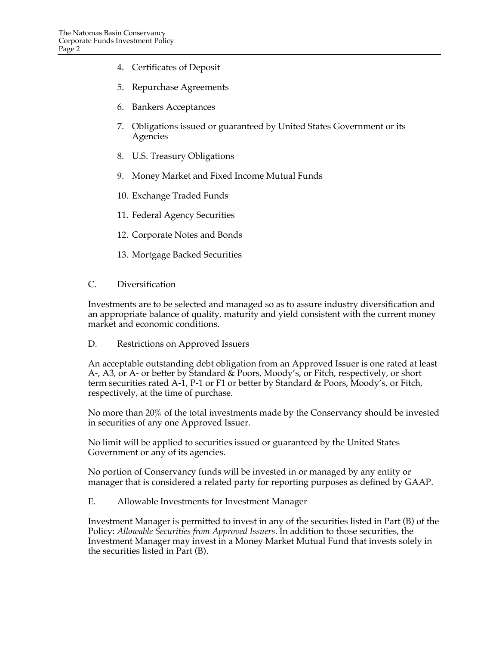- 4. Certificates of Deposit
- 5. Repurchase Agreements
- 6. Bankers Acceptances
- 7. Obligations issued or guaranteed by United States Government or its Agencies
- 8. U.S. Treasury Obligations
- 9. Money Market and Fixed Income Mutual Funds
- 10. Exchange Traded Funds
- 11. Federal Agency Securities
- 12. Corporate Notes and Bonds
- 13. Mortgage Backed Securities
- C. Diversification

 an appropriate balance of quality, maturity and yield consistent with the current money market and economic conditions. Investments are to be selected and managed so as to assure industry diversification and

D. Restrictions on Approved Issuers

 An acceptable outstanding debt obligation from an Approved Issuer is one rated at least A-, A3, or A- or better by Standard & Poors, Moody's, or Fitch, respectively, or short term securities rated A-1, P-1 or F1 or better by Standard & Poors, Moody's, or Fitch, respectively, at the time of purchase.

 No more than 20% of the total investments made by the Conservancy should be invested in securities of any one Approved Issuer.

 No limit will be applied to securities issued or guaranteed by the United States Government or any of its agencies.

 No portion of Conservancy funds will be invested in or managed by any entity or manager that is considered a related party for reporting purposes as defined by GAAP.

E. Allowable Investments for Investment Manager

 Investment Manager is permitted to invest in any of the securities listed in Part (B) of the  Policy: *Allowable Securities from Approved Issuers*. In addition to those securities, the Investment Manager may invest in a Money Market Mutual Fund that invests solely in the securities listed in Part (B).